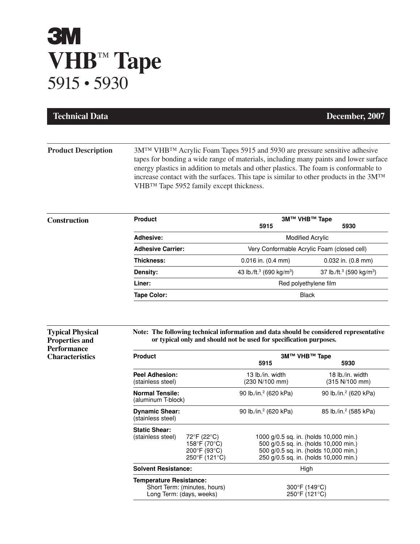## **3M VHB**™ **Tape** 5915 • 5930

| <b>Technical Data</b>                                                                            |                                                                                            |                                                              |                                                                                                                                                                               | December, 2007                                                                                                                                                                                                                                                                                                                                                                     |
|--------------------------------------------------------------------------------------------------|--------------------------------------------------------------------------------------------|--------------------------------------------------------------|-------------------------------------------------------------------------------------------------------------------------------------------------------------------------------|------------------------------------------------------------------------------------------------------------------------------------------------------------------------------------------------------------------------------------------------------------------------------------------------------------------------------------------------------------------------------------|
|                                                                                                  |                                                                                            |                                                              |                                                                                                                                                                               |                                                                                                                                                                                                                                                                                                                                                                                    |
| <b>Product Description</b>                                                                       | VHB™ Tape 5952 family except thickness.                                                    |                                                              |                                                                                                                                                                               | 3M <sup>TM</sup> VHB <sup>TM</sup> Acrylic Foam Tapes 5915 and 5930 are pressure sensitive adhesive<br>tapes for bonding a wide range of materials, including many paints and lower surface<br>energy plastics in addition to metals and other plastics. The foam is conformable to<br>increase contact with the surfaces. This tape is similar to other products in the $3M^{TM}$ |
| Construction                                                                                     | <b>Product</b>                                                                             |                                                              | 5915                                                                                                                                                                          | 3M™ VHB™ Tape<br>5930                                                                                                                                                                                                                                                                                                                                                              |
|                                                                                                  | <b>Adhesive:</b>                                                                           |                                                              |                                                                                                                                                                               | <b>Modified Acrylic</b>                                                                                                                                                                                                                                                                                                                                                            |
|                                                                                                  | <b>Adhesive Carrier:</b>                                                                   |                                                              | Very Conformable Acrylic Foam (closed cell)                                                                                                                                   |                                                                                                                                                                                                                                                                                                                                                                                    |
|                                                                                                  | Thickness:                                                                                 |                                                              | 0.016 in. (0.4 mm)                                                                                                                                                            | 0.032 in. (0.8 mm)                                                                                                                                                                                                                                                                                                                                                                 |
|                                                                                                  | Density:                                                                                   |                                                              | 43 lb./ft. <sup>3</sup> (690 kg/m <sup>3</sup> )                                                                                                                              | 37 lb./ft. <sup>3</sup> (590 kg/m <sup>3</sup> )                                                                                                                                                                                                                                                                                                                                   |
|                                                                                                  | Liner:                                                                                     |                                                              |                                                                                                                                                                               | Red polyethylene film                                                                                                                                                                                                                                                                                                                                                              |
|                                                                                                  | <b>Tape Color:</b>                                                                         |                                                              | <b>Black</b>                                                                                                                                                                  |                                                                                                                                                                                                                                                                                                                                                                                    |
| <b>Typical Physical</b><br><b>Properties and</b><br><b>Performance</b><br><b>Characteristics</b> | <b>Product</b>                                                                             |                                                              | Note: The following technical information and data should be considered representative<br>or typical only and should not be used for specification purposes.<br>3M™ VHB™ Tape |                                                                                                                                                                                                                                                                                                                                                                                    |
|                                                                                                  |                                                                                            |                                                              | 5915                                                                                                                                                                          | 5930                                                                                                                                                                                                                                                                                                                                                                               |
|                                                                                                  | <b>Peel Adhesion:</b><br>(stainless steel)                                                 |                                                              | 13 lb./in. width<br>(230 N/100 mm)                                                                                                                                            | 18 lb./in. width<br>(315 N/100 mm)                                                                                                                                                                                                                                                                                                                                                 |
|                                                                                                  | <b>Normal Tensile:</b><br>(aluminum T-block)                                               |                                                              | 90 lb./in. <sup>2</sup> (620 kPa)                                                                                                                                             | 90 lb./in. <sup>2</sup> (620 kPa)                                                                                                                                                                                                                                                                                                                                                  |
|                                                                                                  | <b>Dynamic Shear:</b><br>(stainless steel)                                                 |                                                              | 90 lb./in. <sup>2</sup> (620 kPa)                                                                                                                                             | 85 lb./in. <sup>2</sup> (585 kPa)                                                                                                                                                                                                                                                                                                                                                  |
|                                                                                                  | <b>Static Shear:</b><br>(stainless steel)                                                  | 72°F (22°C)<br>158°F (70°C)<br>200°F (93°C)<br>250°F (121°C) | 1000 g/0.5 sq. in. (holds 10,000 min.)<br>500 g/0.5 sq. in. (holds 10,000 min.)<br>500 g/0.5 sq. in. (holds 10,000 min.)<br>250 g/0.5 sq. in. (holds 10,000 min.)             |                                                                                                                                                                                                                                                                                                                                                                                    |
|                                                                                                  | <b>Solvent Resistance:</b>                                                                 |                                                              | High                                                                                                                                                                          |                                                                                                                                                                                                                                                                                                                                                                                    |
|                                                                                                  | <b>Temperature Resistance:</b><br>Short Term: (minutes, hours)<br>Long Term: (days, weeks) |                                                              | $300^{\circ}$ F (149 $^{\circ}$ C)<br>250°F (121°C)                                                                                                                           |                                                                                                                                                                                                                                                                                                                                                                                    |